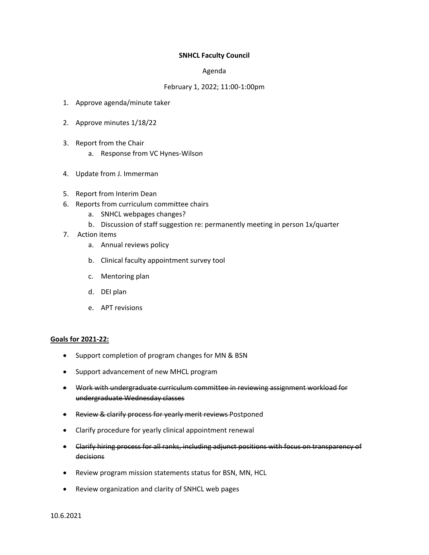## **SNHCL Faculty Council**

## Agenda

## February 1, 2022; 11:00-1:00pm

- 1. Approve agenda/minute taker
- 2. Approve minutes 1/18/22
- 3. Report from the Chair
	- a. Response from VC Hynes-Wilson
- 4. Update from J. Immerman
- 5. Report from Interim Dean
- 6. Reports from curriculum committee chairs
	- a. SNHCL webpages changes?
	- b. Discussion of staff suggestion re: permanently meeting in person 1x/quarter
- 7. Action items
	- a. Annual reviews policy
	- b. Clinical faculty appointment survey tool
	- c. Mentoring plan
	- d. DEI plan
	- e. APT revisions

## **Goals for 2021-22:**

- Support completion of program changes for MN & BSN
- Support advancement of new MHCL program
- Work with undergraduate curriculum committee in reviewing assignment workload for undergraduate Wednesday classes
- Review & clarify process for yearly merit reviews Postponed
- Clarify procedure for yearly clinical appointment renewal
- Clarify hiring process for all ranks, including adjunct positions with focus on transparency of decisions
- Review program mission statements status for BSN, MN, HCL
- Review organization and clarity of SNHCL web pages